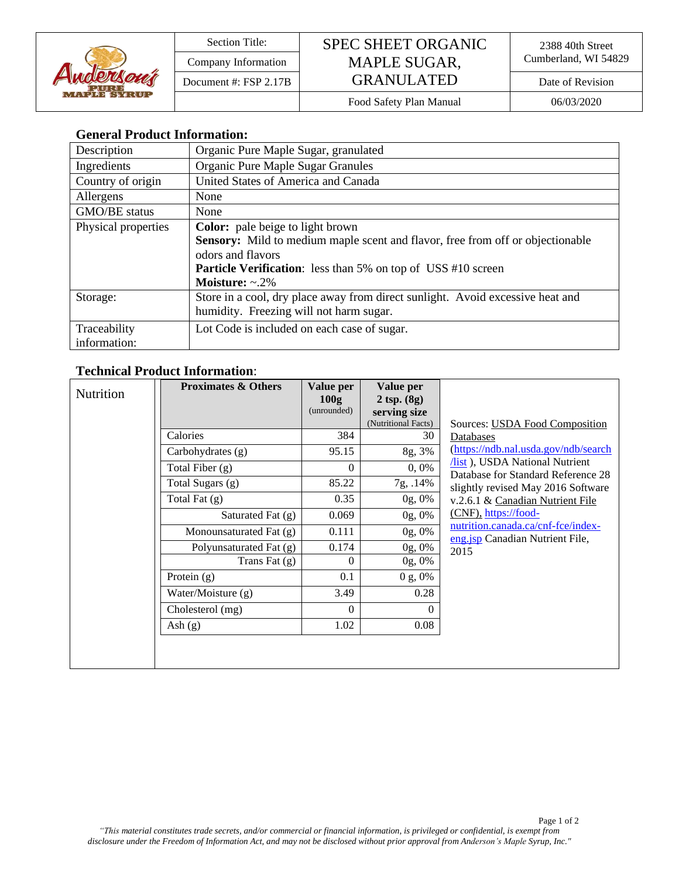

## Section Title: SPEC SHEET ORGANIC Company Information MAPLE SUGAR, Cumberland, WI 54829 Document #: FSP 2.17B  $\vert$  GRANULATED Date of Revision

Food Safety Plan Manual 06/03/2020

### **General Product Information:**

| Description         | Organic Pure Maple Sugar, granulated                                                  |
|---------------------|---------------------------------------------------------------------------------------|
| Ingredients         | Organic Pure Maple Sugar Granules                                                     |
| Country of origin   | United States of America and Canada                                                   |
| Allergens           | None                                                                                  |
| GMO/BE status       | None                                                                                  |
| Physical properties | <b>Color:</b> pale beige to light brown                                               |
|                     | <b>Sensory:</b> Mild to medium maple scent and flavor, free from off or objectionable |
|                     | odors and flavors                                                                     |
|                     | <b>Particle Verification:</b> less than 5% on top of USS #10 screen                   |
|                     | Moisture: $\sim$ .2%                                                                  |
| Storage:            | Store in a cool, dry place away from direct sunlight. Avoid excessive heat and        |
|                     | humidity. Freezing will not harm sugar.                                               |
| Traceability        | Lot Code is included on each case of sugar.                                           |
| information:        |                                                                                       |

#### **Technical Product Information**:

| <b>Nutrition</b> | <b>Proximates &amp; Others</b> | Value per<br>100g | Value per<br>$2$ tsp. $(8g)$ |                                                                               |
|------------------|--------------------------------|-------------------|------------------------------|-------------------------------------------------------------------------------|
|                  |                                | (unrounded)       | serving size                 |                                                                               |
|                  |                                |                   | (Nutritional Facts)          | Sources: USDA Food Composition                                                |
|                  | Calories                       | 384               | 30                           | Databases                                                                     |
|                  | Carbohydrates (g)              | 95.15             | 8g, 3%                       | (https://ndb.nal.usda.gov/ndb/search                                          |
|                  | Total Fiber $(g)$              | $\theta$          | 0,0%                         | <i>(Ist.f., USDA National Nutrient)</i><br>Database for Standard Reference 28 |
|                  | Total Sugars (g)               | 85.22             | 7g, .14%                     | slightly revised May 2016 Software                                            |
|                  | Total Fat $(g)$                | 0.35              | 0g, 0%                       | v.2.6.1 & Canadian Nutrient File                                              |
|                  | Saturated Fat (g)              | 0.069             | 0g, 0%                       | (CNF), https://food-                                                          |
|                  | Monounsaturated Fat (g)        | 0.111             | 0g, 0%                       | nutrition.canada.ca/cnf-fce/index-<br>eng.jsp Canadian Nutrient File,         |
|                  | Polyunsaturated Fat (g)        | 0.174             | 0g, 0%                       | 2015                                                                          |
|                  | Trans Fat $(g)$                | $\Omega$          | 0g, 0%                       |                                                                               |
|                  | Protein $(g)$                  | 0.1               | $0 g, 0\%$                   |                                                                               |
|                  | Water/Moisture (g)             | 3.49              | 0.28                         |                                                                               |
|                  | Cholesterol (mg)               | $\Omega$          | 0                            |                                                                               |
|                  | Ash $(g)$                      | 1.02              | 0.08                         |                                                                               |
|                  |                                |                   |                              |                                                                               |